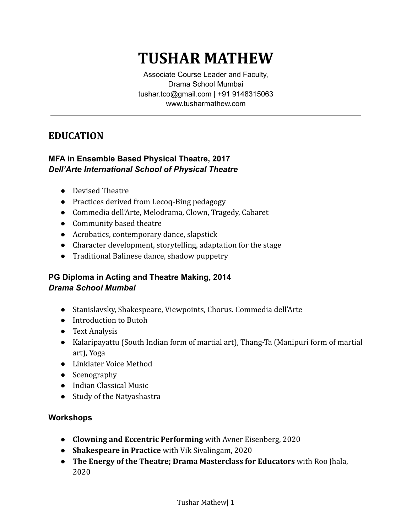# **TUSHAR MATHEW**

Associate Course Leader and Faculty, Drama School Mumbai tushar.tco@gmail.com | +91 9148315063 www.tusharmathew.com

# **EDUCATION**

## **MFA in Ensemble Based Physical Theatre, 2017** *Dell'Arte International School of Physical Theatre*

- Devised Theatre
- Practices derived from Lecoq-Bing pedagogy
- Commedia dell'Arte, Melodrama, Clown, Tragedy, Cabaret
- Community based theatre
- Acrobatics, contemporary dance, slapstick
- Character development, storytelling, adaptation for the stage
- Traditional Balinese dance, shadow puppetry

## **PG Diploma in Acting and Theatre Making, 2014** *Drama School Mumbai*

- Stanislavsky, Shakespeare, Viewpoints, Chorus. Commedia dell'Arte
- Introduction to Butoh
- Text Analysis
- Kalaripayattu (South Indian form of martial art), Thang-Ta (Manipuri form of martial art), Yoga
- Linklater Voice Method
- Scenography
- Indian Classical Music
- Study of the Natyashastra

#### **Workshops**

- **Clowning and Eccentric Performing** with Avner Eisenberg, 2020
- **Shakespeare in Practice** with Vik Sivalingam, 2020
- **The Energy of the Theatre; Drama Masterclass for Educators** with Roo Jhala, 2020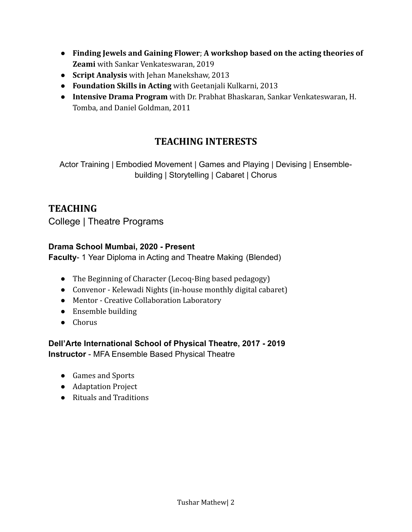- **Finding Jewels and Gaining Flower**; **A workshop based on the acting theories of Zeami** with Sankar Venkateswaran, 2019
- **Script Analysis** with Jehan Manekshaw, 2013
- **Foundation Skills in Acting** with Geetanjali Kulkarni, 2013
- **Intensive Drama Program** with Dr. Prabhat Bhaskaran, Sankar Venkateswaran, H. Tomba, and Daniel Goldman, 2011

# **TEACHING INTERESTS**

Actor Training | Embodied Movement | Games and Playing | Devising | Ensemblebuilding | Storytelling | Cabaret | Chorus

# **TEACHING**

College | Theatre Programs

#### **Drama School Mumbai, 2020 - Present**

**Faculty**- 1 Year Diploma in Acting and Theatre Making (Blended)

- The Beginning of Character (Lecoq-Bing based pedagogy)
- Convenor Kelewadi Nights (in-house monthly digital cabaret)
- Mentor Creative Collaboration Laboratory
- Ensemble building
- Chorus

**Dell'Arte International School of Physical Theatre, 2017 - 2019 Instructor** - MFA Ensemble Based Physical Theatre

- Games and Sports
- Adaptation Project
- Rituals and Traditions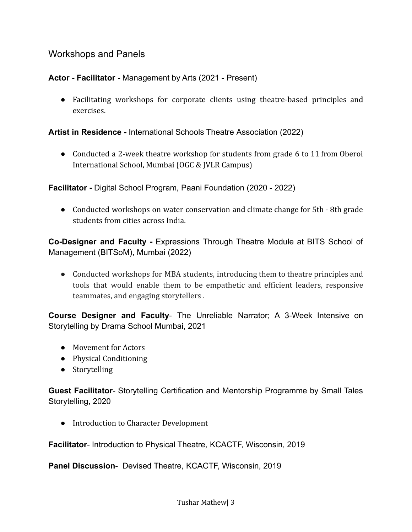## Workshops and Panels

**Actor - Facilitator -** Management by Arts (2021 - Present)

● Facilitating workshops for corporate clients using theatre-based principles and exercises.

**Artist in Residence -** International Schools Theatre Association (2022)

• Conducted a 2-week theatre workshop for students from grade 6 to 11 from Oberoi International School, Mumbai (OGC & JVLR Campus)

**Facilitator -** Digital School Program*,* Paani Foundation (2020 - 2022)

● Conducted workshops on water conservation and climate change for 5th - 8th grade students from cities across India.

**Co-Designer and Faculty -** Expressions Through Theatre Module at BITS School of Management (BITSoM), Mumbai (2022)

• Conducted workshops for MBA students, introducing them to theatre principles and tools that would enable them to be empathetic and efficient leaders, responsive teammates, and engaging storytellers .

**Course Designer and Faculty**- The Unreliable Narrator; A 3-Week Intensive on Storytelling by Drama School Mumbai, 2021

- Movement for Actors
- Physical Conditioning
- Storytelling

**Guest Facilitator***-* Storytelling Certification and Mentorship Programme by Small Tales Storytelling, 2020

● Introduction to Character Development

**Facilitator***-* Introduction to Physical Theatre*,* KCACTF, Wisconsin, 2019

**Panel Discussion**- Devised Theatre*,* KCACTF, Wisconsin, 2019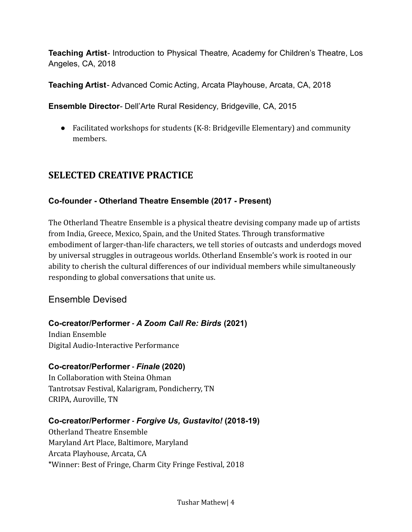**Teaching Artist***-* Introduction to Physical Theatre*,* Academy for Children's Theatre, Los Angeles, CA, 2018

**Teaching Artist***-* Advanced Comic Acting*,* Arcata Playhouse, Arcata, CA, 2018

**Ensemble Director***-* Dell'Arte Rural Residency*,* Bridgeville, CA, 2015

● Facilitated workshops for students (K-8: Bridgeville Elementary) and community members.

# **SELECTED CREATIVE PRACTICE**

# **Co-founder - Otherland Theatre Ensemble (2017 - Present)**

The Otherland Theatre Ensemble is a physical theatre devising company made up of artists from India, Greece, Mexico, Spain, and the United States. Through transformative embodiment of larger-than-life characters, we tell stories of outcasts and underdogs moved by universal struggles in outrageous worlds. Otherland Ensemble's work is rooted in our ability to cherish the cultural differences of our individual members while simultaneously responding to global conversations that unite us.

# Ensemble Devised

# **Co-creator/Performer -** *A Zoom Call Re: Birds* **(2021)**

Indian Ensemble Digital Audio-Interactive Performance

#### **Co-creator/Performer -** *Finale* **(2020)**

In Collaboration with Steina Ohman Tantrotsav Festival, Kalarigram, Pondicherry, TN CRIPA, Auroville, TN

#### **Co-creator/Performer -** *Forgive Us, Gustavito!* **(2018-19)**

Otherland Theatre Ensemble Maryland Art Place, Baltimore, Maryland Arcata Playhouse, Arcata, CA \*Winner: Best of Fringe, Charm City Fringe Festival, 2018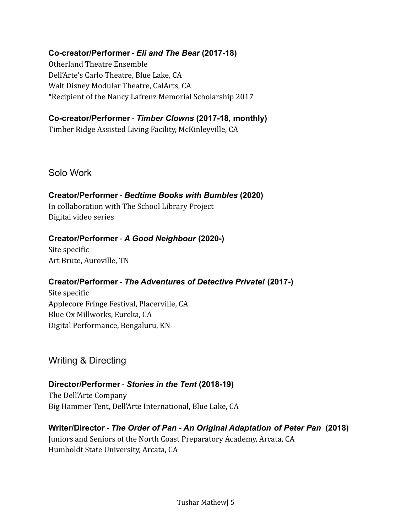#### **Co-creator/Performer -** *Eli and The Bear* **(2017-18)**

Otherland Theatre Ensemble Dell'Arte's Carlo Theatre, Blue Lake, CA Walt Disney Modular Theatre, CalArts, CA \*Recipient of the Nancy Lafrenz Memorial Scholarship 2017

#### **Co-creator/Performer -** *Timber Clowns* **(2017-18, monthly)**

Timber Ridge Assisted Living Facility, McKinleyville, CA

Solo Work

#### **Creator/Performer -** *Bedtime Books with Bumbles* **(2020)**

In collaboration with The School Library Project Digital video series

#### **Creator/Performer -** *A Good Neighbour* **(2020-)**

Site specific Art Brute, Auroville, TN

#### **Creator/Performer -** *The Adventures of Detective Private!* **(2017-)**

Site specific Applecore Fringe Festival, Placerville, CA Blue Ox Millworks, Eureka, CA Digital Performance, Bengaluru, KN

Writing & Directing

#### **Director/Performer -** *Stories in the Tent* **(2018-19)**

The Dell'Arte Company Big Hammer Tent, Dell'Arte International, Blue Lake, CA

#### **Writer/Director -** *The Order of Pan - An Original Adaptation of Peter Pan* **(2018)**

Juniors and Seniors of the North Coast Preparatory Academy, Arcata, CA Humboldt State University, Arcata, CA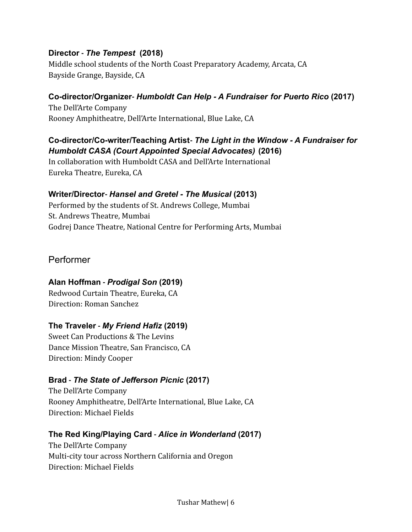#### **Director -** *The Tempest* **(2018)**

Middle school students of the North Coast Preparatory Academy, Arcata, CA Bayside Grange, Bayside, CA

#### **Co-director/Organizer-** *Humboldt Can Help - A Fundraiser for Puerto Rico* **(2017)**

The Dell'Arte Company Rooney Amphitheatre, Dell'Arte International, Blue Lake, CA

## **Co-director/Co-writer/Teaching Artist-** *The Light in the Window - A Fundraiser for Humboldt CASA (Court Appointed Special Advocates)* **(2016)**

In collaboration with Humboldt CASA and Dell'Arte International Eureka Theatre, Eureka, CA

#### **Writer/Director-** *Hansel and Gretel - The Musical* **(2013)**

Performed by the students of St. Andrews College, Mumbai St. Andrews Theatre, Mumbai Godrej Dance Theatre, National Centre for Performing Arts, Mumbai

# Performer

#### **Alan Hoffman -** *Prodigal Son* **(2019)**

Redwood Curtain Theatre, Eureka, CA Direction: Roman Sanchez

#### **The Traveler -** *My Friend Hafiz* **(2019)**

Sweet Can Productions & The Levins Dance Mission Theatre, San Francisco, CA Direction: Mindy Cooper

#### **Brad -** *The State of Jefferson Picnic* **(2017)**

The Dell'Arte Company Rooney Amphitheatre, Dell'Arte International, Blue Lake, CA Direction: Michael Fields

#### **The Red King/Playing Card -** *Alice in Wonderland* **(2017)**

The Dell'Arte Company Multi-city tour across Northern California and Oregon Direction: Michael Fields